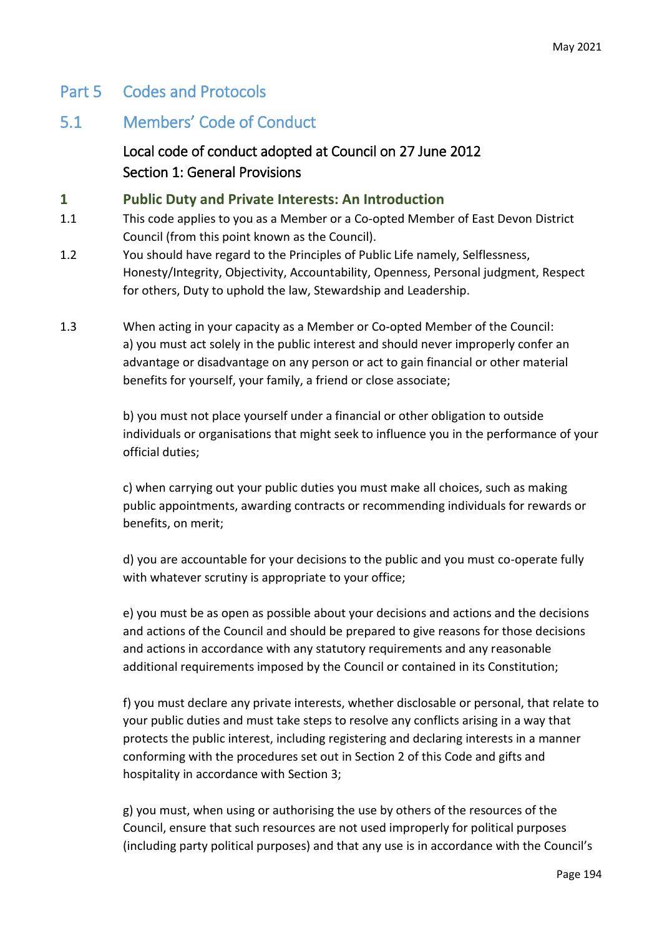# Part 5 Codes and Protocols

# 5.1 Members' Code of Conduct

 Local code of conduct adopted at Council on 27 June 2012 Section 1: General Provisions

### **1 Public Duty and Private Interests: An Introduction**

- 1.1 This code applies to you as a Member or a Co-opted Member of East Devon District Council (from this point known as the Council).
- 1.2 You should have regard to the Principles of Public Life namely, Selflessness, Honesty/Integrity, Objectivity, Accountability, Openness, Personal judgment, Respect for others, Duty to uphold the law, Stewardship and Leadership.
- 1.3 When acting in your capacity as a Member or Co-opted Member of the Council: a) you must act solely in the public interest and should never improperly confer an advantage or disadvantage on any person or act to gain financial or other material benefits for yourself, your family, a friend or close associate;

b) you must not place yourself under a financial or other obligation to outside individuals or organisations that might seek to influence you in the performance of your official duties;

c) when carrying out your public duties you must make all choices, such as making public appointments, awarding contracts or recommending individuals for rewards or benefits, on merit;

d) you are accountable for your decisions to the public and you must co-operate fully with whatever scrutiny is appropriate to your office;

e) you must be as open as possible about your decisions and actions and the decisions and actions of the Council and should be prepared to give reasons for those decisions and actions in accordance with any statutory requirements and any reasonable additional requirements imposed by the Council or contained in its Constitution;

f) you must declare any private interests, whether disclosable or personal, that relate to your public duties and must take steps to resolve any conflicts arising in a way that protects the public interest, including registering and declaring interests in a manner conforming with the procedures set out in Section 2 of this Code and gifts and hospitality in accordance with Section 3;

g) you must, when using or authorising the use by others of the resources of the Council, ensure that such resources are not used improperly for political purposes (including party political purposes) and that any use is in accordance with the Council's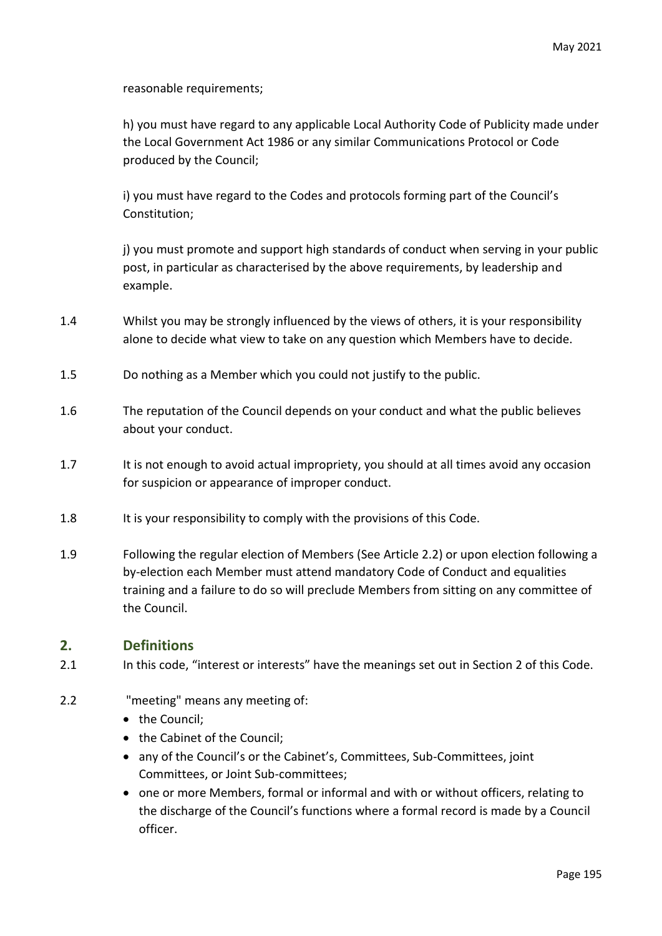reasonable requirements;

h) you must have regard to any applicable Local Authority Code of Publicity made under the Local Government Act 1986 or any similar Communications Protocol or Code produced by the Council;

i) you must have regard to the Codes and protocols forming part of the Council's Constitution;

j) you must promote and support high standards of conduct when serving in your public post, in particular as characterised by the above requirements, by leadership and example.

- 1.4 Whilst you may be strongly influenced by the views of others, it is your responsibility alone to decide what view to take on any question which Members have to decide.
- 1.5 Do nothing as a Member which you could not justify to the public.
- 1.6 The reputation of the Council depends on your conduct and what the public believes about your conduct.
- 1.7 It is not enough to avoid actual impropriety, you should at all times avoid any occasion for suspicion or appearance of improper conduct.
- 1.8 It is your responsibility to comply with the provisions of this Code.
- 1.9 Following the regular election of Members (See Article 2.2) or upon election following a by-election each Member must attend mandatory Code of Conduct and equalities training and a failure to do so will preclude Members from sitting on any committee of the Council.

### **2. Definitions**

- 2.1 In this code, "interest or interests" have the meanings set out in Section 2 of this Code.
- 2.2 "meeting" means any meeting of:
	- the Council;
	- the Cabinet of the Council;
	- any of the Council's or the Cabinet's, Committees, Sub-Committees, joint Committees, or Joint Sub-committees;
	- one or more Members, formal or informal and with or without officers, relating to the discharge of the Council's functions where a formal record is made by a Council officer.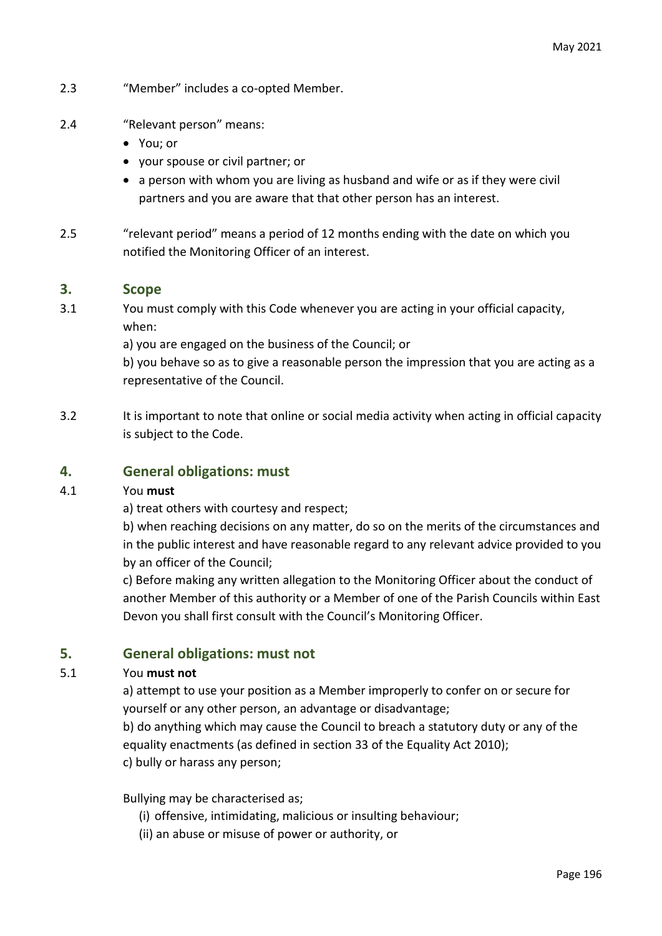- 2.3 "Member" includes a co-opted Member.
- 2.4 "Relevant person" means:
	- You; or
	- your spouse or civil partner; or
	- a person with whom you are living as husband and wife or as if they were civil partners and you are aware that that other person has an interest.
- 2.5 "relevant period" means a period of 12 months ending with the date on which you notified the Monitoring Officer of an interest.

#### **3. Scope**

3.1 You must comply with this Code whenever you are acting in your official capacity, when:

a) you are engaged on the business of the Council; or

b) you behave so as to give a reasonable person the impression that you are acting as a representative of the Council.

3.2 It is important to note that online or social media activity when acting in official capacity is subject to the Code.

### **4. General obligations: must**

#### 4.1 You **must**

a) treat others with courtesy and respect;

b) when reaching decisions on any matter, do so on the merits of the circumstances and in the public interest and have reasonable regard to any relevant advice provided to you by an officer of the Council;

c) Before making any written allegation to the Monitoring Officer about the conduct of another Member of this authority or a Member of one of the Parish Councils within East Devon you shall first consult with the Council's Monitoring Officer.

### **5. General obligations: must not**

#### 5.1 You **must not**

a) attempt to use your position as a Member improperly to confer on or secure for yourself or any other person, an advantage or disadvantage;

b) do anything which may cause the Council to breach a statutory duty or any of the equality enactments (as defined in section 33 of the Equality Act 2010); c) bully or harass any person;

Bullying may be characterised as;

- (i) offensive, intimidating, malicious or insulting behaviour;
- (ii) an abuse or misuse of power or authority, or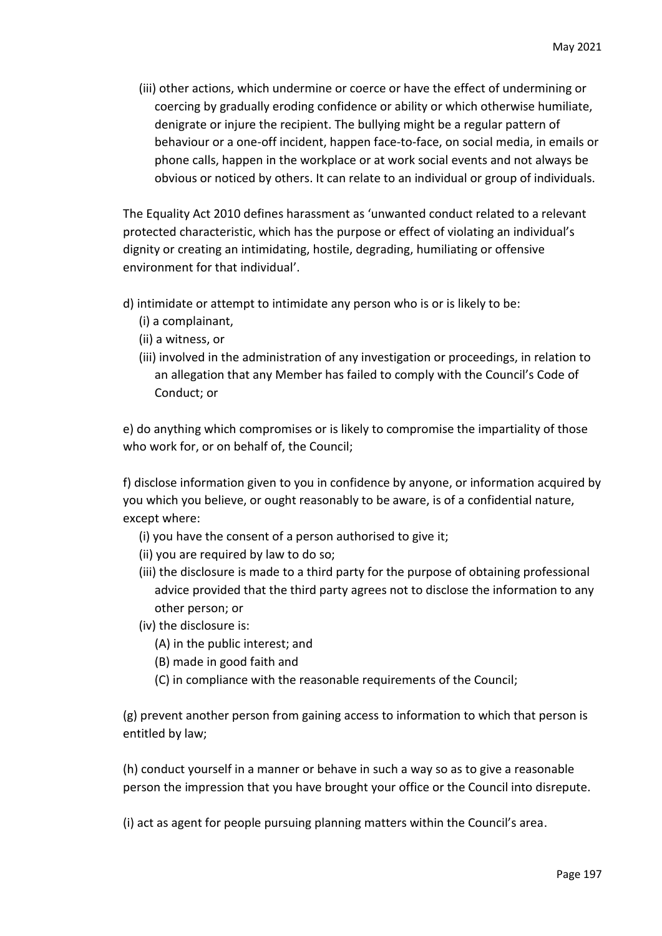(iii) other actions, which undermine or coerce or have the effect of undermining or coercing by gradually eroding confidence or ability or which otherwise humiliate, denigrate or injure the recipient. The bullying might be a regular pattern of behaviour or a one-off incident, happen face-to-face, on social media, in emails or phone calls, happen in the workplace or at work social events and not always be obvious or noticed by others. It can relate to an individual or group of individuals.

The Equality Act 2010 defines harassment as 'unwanted conduct related to a relevant protected characteristic, which has the purpose or effect of violating an individual's dignity or creating an intimidating, hostile, degrading, humiliating or offensive environment for that individual'.

- d) intimidate or attempt to intimidate any person who is or is likely to be:
	- (i) a complainant,
	- (ii) a witness, or
	- (iii) involved in the administration of any investigation or proceedings, in relation to an allegation that any Member has failed to comply with the Council's Code of Conduct; or

e) do anything which compromises or is likely to compromise the impartiality of those who work for, or on behalf of, the Council;

f) disclose information given to you in confidence by anyone, or information acquired by you which you believe, or ought reasonably to be aware, is of a confidential nature, except where:

- (i) you have the consent of a person authorised to give it;
- (ii) you are required by law to do so;
- (iii) the disclosure is made to a third party for the purpose of obtaining professional advice provided that the third party agrees not to disclose the information to any other person; or
- (iv) the disclosure is:
	- (A) in the public interest; and
	- (B) made in good faith and
	- (C) in compliance with the reasonable requirements of the Council;

(g) prevent another person from gaining access to information to which that person is entitled by law;

(h) conduct yourself in a manner or behave in such a way so as to give a reasonable person the impression that you have brought your office or the Council into disrepute.

(i) act as agent for people pursuing planning matters within the Council's area.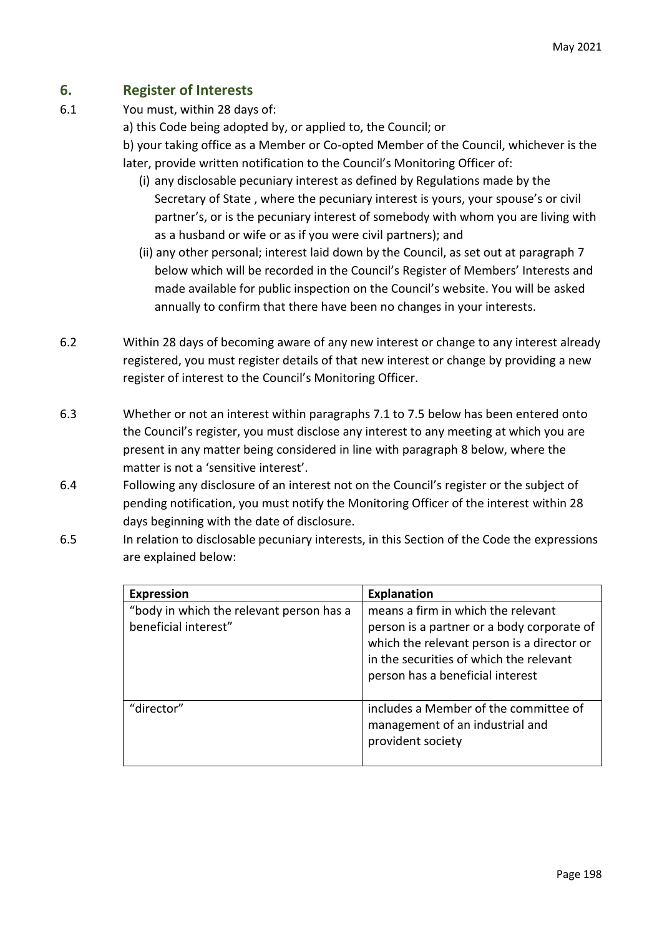# **6. Register of Interests**

- 6.1 You must, within 28 days of:
	- a) this Code being adopted by, or applied to, the Council; or

b) your taking office as a Member or Co-opted Member of the Council, whichever is the later, provide written notification to the Council's Monitoring Officer of:

- (i) any disclosable pecuniary interest as defined by Regulations made by the Secretary of State , where the pecuniary interest is yours, your spouse's or civil partner's, or is the pecuniary interest of somebody with whom you are living with as a husband or wife or as if you were civil partners); and
- (ii) any other personal; interest laid down by the Council, as set out at paragraph 7 below which will be recorded in the Council's Register of Members' Interests and made available for public inspection on the Council's website. You will be asked annually to confirm that there have been no changes in your interests.
- 6.2 Within 28 days of becoming aware of any new interest or change to any interest already registered, you must register details of that new interest or change by providing a new register of interest to the Council's Monitoring Officer.
- 6.3 Whether or not an interest within paragraphs 7.1 to 7.5 below has been entered onto the Council's register, you must disclose any interest to any meeting at which you are present in any matter being considered in line with paragraph 8 below, where the matter is not a 'sensitive interest'.
- 6.4 Following any disclosure of an interest not on the Council's register or the subject of pending notification, you must notify the Monitoring Officer of the interest within 28 days beginning with the date of disclosure.
- 6.5 In relation to disclosable pecuniary interests, in this Section of the Code the expressions are explained below:

| <b>Expression</b>                                                | <b>Explanation</b>                                                                                                                                                                                            |
|------------------------------------------------------------------|---------------------------------------------------------------------------------------------------------------------------------------------------------------------------------------------------------------|
| "body in which the relevant person has a<br>beneficial interest" | means a firm in which the relevant<br>person is a partner or a body corporate of<br>which the relevant person is a director or<br>in the securities of which the relevant<br>person has a beneficial interest |
| "director"                                                       | includes a Member of the committee of<br>management of an industrial and<br>provident society                                                                                                                 |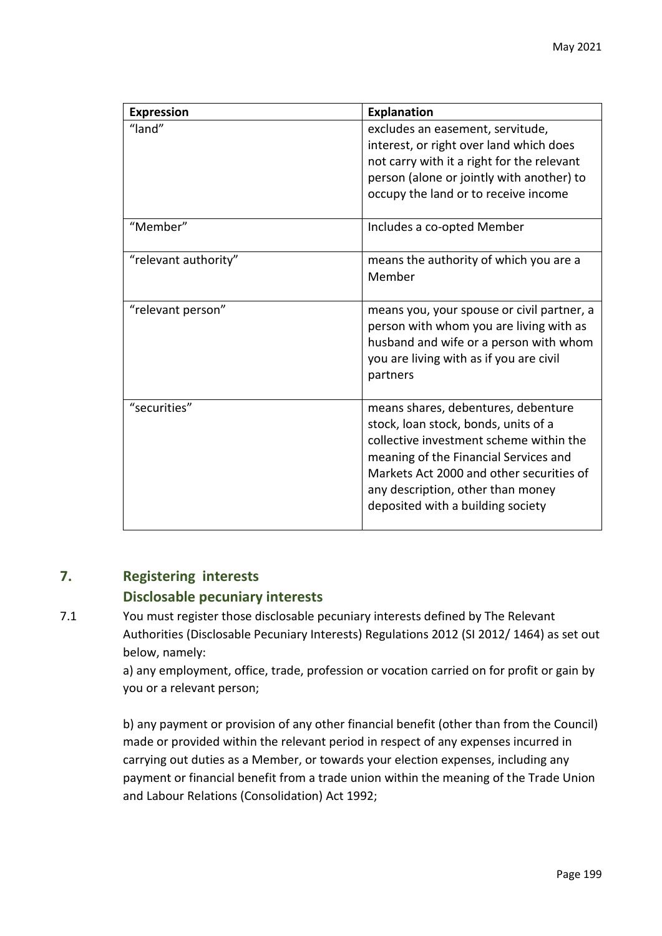| <b>Expression</b>    | <b>Explanation</b>                                                                                                                                                                                                                                                                    |
|----------------------|---------------------------------------------------------------------------------------------------------------------------------------------------------------------------------------------------------------------------------------------------------------------------------------|
| "land"               | excludes an easement, servitude,<br>interest, or right over land which does<br>not carry with it a right for the relevant<br>person (alone or jointly with another) to<br>occupy the land or to receive income                                                                        |
| "Member"             | Includes a co-opted Member                                                                                                                                                                                                                                                            |
| "relevant authority" | means the authority of which you are a<br>Member                                                                                                                                                                                                                                      |
| "relevant person"    | means you, your spouse or civil partner, a<br>person with whom you are living with as<br>husband and wife or a person with whom<br>you are living with as if you are civil<br>partners                                                                                                |
| "securities"         | means shares, debentures, debenture<br>stock, loan stock, bonds, units of a<br>collective investment scheme within the<br>meaning of the Financial Services and<br>Markets Act 2000 and other securities of<br>any description, other than money<br>deposited with a building society |

# **7. Registering interests**

## **Disclosable pecuniary interests**

7.1 You must register those disclosable pecuniary interests defined by The Relevant Authorities (Disclosable Pecuniary Interests) Regulations 2012 (SI 2012/ 1464) as set out below, namely:

> a) any employment, office, trade, profession or vocation carried on for profit or gain by you or a relevant person;

> b) any payment or provision of any other financial benefit (other than from the Council) made or provided within the relevant period in respect of any expenses incurred in carrying out duties as a Member, or towards your election expenses, including any payment or financial benefit from a trade union within the meaning of the Trade Union and Labour Relations (Consolidation) Act 1992;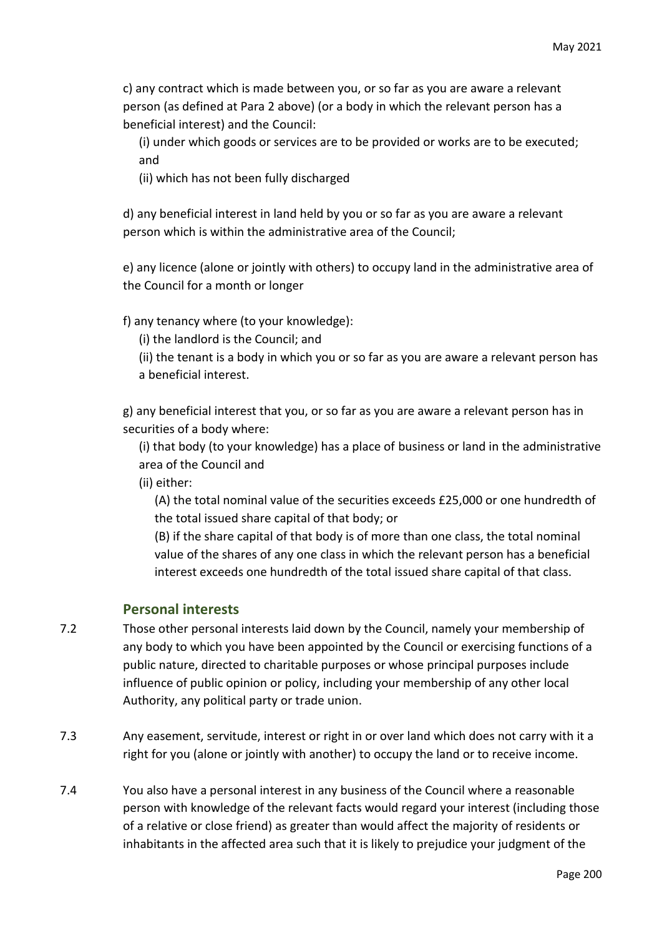c) any contract which is made between you, or so far as you are aware a relevant person (as defined at Para 2 above) (or a body in which the relevant person has a beneficial interest) and the Council:

(i) under which goods or services are to be provided or works are to be executed; and

(ii) which has not been fully discharged

d) any beneficial interest in land held by you or so far as you are aware a relevant person which is within the administrative area of the Council;

e) any licence (alone or jointly with others) to occupy land in the administrative area of the Council for a month or longer

f) any tenancy where (to your knowledge):

(i) the landlord is the Council; and

(ii) the tenant is a body in which you or so far as you are aware a relevant person has a beneficial interest.

g) any beneficial interest that you, or so far as you are aware a relevant person has in securities of a body where:

(i) that body (to your knowledge) has a place of business or land in the administrative area of the Council and

(ii) either:

(A) the total nominal value of the securities exceeds £25,000 or one hundredth of the total issued share capital of that body; or

(B) if the share capital of that body is of more than one class, the total nominal value of the shares of any one class in which the relevant person has a beneficial interest exceeds one hundredth of the total issued share capital of that class.

### **Personal interests**

- 7.2 Those other personal interests laid down by the Council, namely your membership of any body to which you have been appointed by the Council or exercising functions of a public nature, directed to charitable purposes or whose principal purposes include influence of public opinion or policy, including your membership of any other local Authority, any political party or trade union.
- 7.3 Any easement, servitude, interest or right in or over land which does not carry with it a right for you (alone or jointly with another) to occupy the land or to receive income.
- 7.4 You also have a personal interest in any business of the Council where a reasonable person with knowledge of the relevant facts would regard your interest (including those of a relative or close friend) as greater than would affect the majority of residents or inhabitants in the affected area such that it is likely to prejudice your judgment of the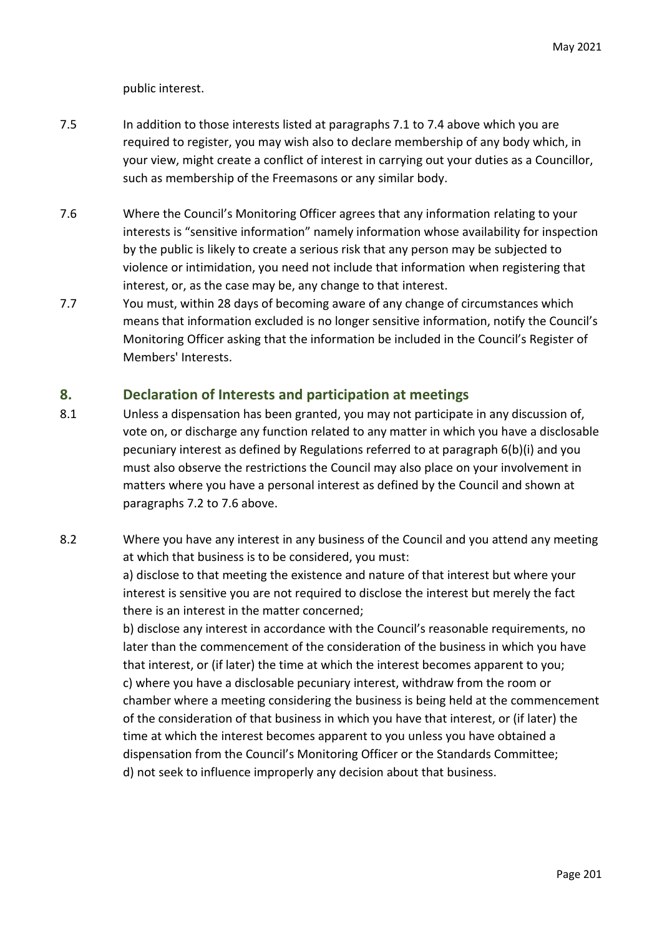public interest.

- 7.5 In addition to those interests listed at paragraphs 7.1 to 7.4 above which you are required to register, you may wish also to declare membership of any body which, in your view, might create a conflict of interest in carrying out your duties as a Councillor, such as membership of the Freemasons or any similar body.
- 7.6 Where the Council's Monitoring Officer agrees that any information relating to your interests is "sensitive information" namely information whose availability for inspection by the public is likely to create a serious risk that any person may be subjected to violence or intimidation, you need not include that information when registering that interest, or, as the case may be, any change to that interest.
- 7.7 You must, within 28 days of becoming aware of any change of circumstances which means that information excluded is no longer sensitive information, notify the Council's Monitoring Officer asking that the information be included in the Council's Register of Members' Interests.

### **8. Declaration of Interests and participation at meetings**

- 8.1 Unless a dispensation has been granted, you may not participate in any discussion of, vote on, or discharge any function related to any matter in which you have a disclosable pecuniary interest as defined by Regulations referred to at paragraph 6(b)(i) and you must also observe the restrictions the Council may also place on your involvement in matters where you have a personal interest as defined by the Council and shown at paragraphs 7.2 to 7.6 above.
- 8.2 Where you have any interest in any business of the Council and you attend any meeting at which that business is to be considered, you must:

a) disclose to that meeting the existence and nature of that interest but where your interest is sensitive you are not required to disclose the interest but merely the fact there is an interest in the matter concerned;

b) disclose any interest in accordance with the Council's reasonable requirements, no later than the commencement of the consideration of the business in which you have that interest, or (if later) the time at which the interest becomes apparent to you; c) where you have a disclosable pecuniary interest, withdraw from the room or chamber where a meeting considering the business is being held at the commencement of the consideration of that business in which you have that interest, or (if later) the time at which the interest becomes apparent to you unless you have obtained a dispensation from the Council's Monitoring Officer or the Standards Committee; d) not seek to influence improperly any decision about that business.